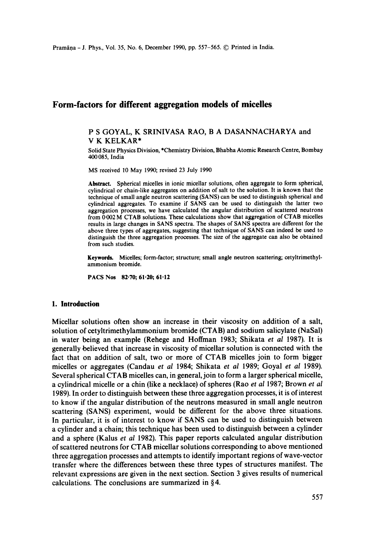# **Form-factors for different aggregation models of micelles**

#### P S GOYAL, K SRINIVASA RAO, B A DASANNACHARYA and V K KELKAR\*

Solid State Physics Division, \*Chemistry Division, Bhabha Atomic Research Centre, Bombay 400085, India

MS received 10 May 1990; revised 23 July 1990

**Abstract.** Spherical micelles in ionic micellar solutions, often aggregate to form spherical, cylindrical or chain-like aggregates on addition of salt to the solution. It is known that the technique of small angle neutron scattering (SANS) can be used to distinguish spherical and cylindrical aggregates. To examine if SANS can be used to distinguish the latter two aggregation processes, we have calculated the angular distribution of scattered neutrons from 0-002 M CTAB solutions. These calculations show that aggregation of CTAB micelles results in large changes in SANS spectra. The shapes of SANS spectra are different for the above three types of aggregates, suggesting that technique of SANS can indeed be used to distinguish the three aggregation processes. The size of the aggregate can also be obtained from such studies.

**Keywords.** Micelles; form-factor; structure; small angle neutron scattering; cetyltrimethylammonium bromide.

**PACS** Nos 82.70; 61.20; 61.12

# **1. Introduction**

Micellar solutions often show an increase in their viscosity on addition of a salt, solution of cetyltrimethylammonium bromide (CTAB) and sodium salicylate (NaSal) in water being an example (Rehege and Hoffman 1983; Shikata *et al* 1987). It is generally believed that increase in viscosity of micellar solution is connected with the fact that on addition of salt, two or more of CTAB micelles join to form bigger micelles or aggregates (Candau *et al* 1984; Shikata *et al* 1989; Goyal *et al* 1989). Several spherical CTAB micelles can, in general, join to form a larger spherical micelle, a cylindrical micelle or a chin (like a necklace) of spheres (Rao *et al* 1987; Brown *et al*  1989). In order to distinguish between these three aggregation processes, it is of interest to know if the angular distribution of the neutrons measured in small angle neutron scattering (SANS) experiment, would be different for the above three situations. In particular, it is of interest to know if SANS can be used to distinguish between a cylinder and a chain; this technique has been used to distinguish between a cylinder and a sphere (Kalus *et al* 1982). This paper reports calculated angular distribution of scattered neutrons for CTAB micellar solutions corresponding to above mentioned three aggregation processes and attempts to identify important regions of wave-vector transfer where the differences between these three types of structures manifest. The relevant expressions are given in the next section. Section 3 gives results of numerical calculations. The conclusions are summarized in §4.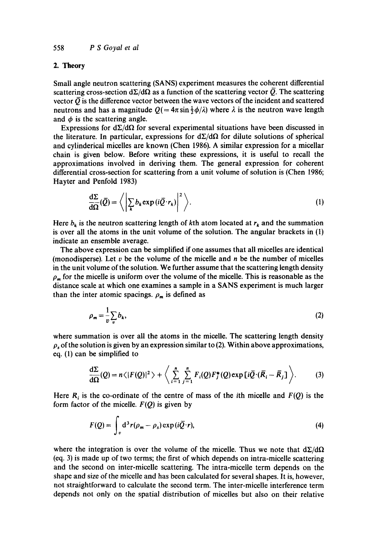## 2. **Theory**

Small angle neutron scattering (SANS) experiment measures the coherent differential scattering cross-section  $d\Sigma/d\Omega$  as a function of the scattering vector  $\overline{Q}$ . The scattering vector  $\overline{O}$  is the difference vector between the wave vectors of the incident and scattered neutrons and has a magnitude  $Q = 4\pi \sin \frac{1}{2}\phi/\lambda$  where  $\lambda$  is the neutron wave length and  $\phi$  is the scattering angle.

Expressions for  $d\Sigma/d\Omega$  for several experimental situations have been discussed in the literature. In particular, expressions for  $d\Sigma/d\Omega$  for dilute solutions of spherical and cylinderical micelles are known (Chen 1986). A similar expression for a micellar chain is given below. Before writing these expressions, it is useful to recall the approximations involved in deriving them. The general expression for coherent differential cross-section for scattering from a unit volume of solution is (Chen 1986; Hayter and Penfold 1983)

$$
\frac{d\Sigma}{d\Omega}(\bar{Q}) = \left\langle \left| \sum_{k} b_k \exp(i\bar{Q} \cdot r_k) \right|^2 \right\rangle. \tag{1}
$$

Here  $b_k$  is the neutron scattering length of kth atom located at  $r_k$  and the summation is over all the atoms in the unit volume of the solution. The angular brackets in (1) indicate an ensemble average.

The above expression can be simplified if one assumes that all micelles are identical (monodisperse). Let  $v$  be the volume of the micelle and  $n$  be the number of micelles in the unit volume of the solution. We further assume that the scattering length density  $\rho_m$  for the micelle is uniform over the volume of the micelle. This is reasonable as the distance scale at which one examines a sample in a SANS experiment is much larger than the inter atomic spacings.  $\rho_m$  is defined as

$$
\rho_m = \frac{1}{v} \sum_v b_k,\tag{2}
$$

where summation is over all the atoms in the micelle. The scattering length density  $\rho_s$  of the solution is given by an expression similar to (2). Within above approximations, eq. (1) can be simplified to

$$
\frac{d\Sigma}{d\Omega}(Q) = n\langle |F(Q)|^2 \rangle + \left\langle \sum_{i=1}^n \sum_{j=1}^n F_i(Q) F_j^*(Q) \exp[i\bar{Q}\cdot(\bar{R}_i - \bar{R}_j)] \right\rangle.
$$
 (3)

Here  $R_i$  is the co-ordinate of the centre of mass of the *i*th micelle and  $F(Q)$  is the form factor of the micelle.  $F(Q)$  is given by

$$
F(Q) = \int_{v} d^{3}r(\rho_{m} - \rho_{s}) \exp(i\overline{Q} \cdot r), \qquad (4)
$$

where the integration is over the volume of the micelle. Thus we note that  $d\Sigma/d\Omega$ (eq. 3) is made up of two terms; the first of which depends on intra-micelle scattering and the second on inter-micelle scattering. The intra-micelle term depends on the shape and size of the micelle and has been calculated for several shapes. It is, however, not straightforward to calculate the second term. The inter-micelle interference term depends not only on the spatial distribution of micelles but also on their relative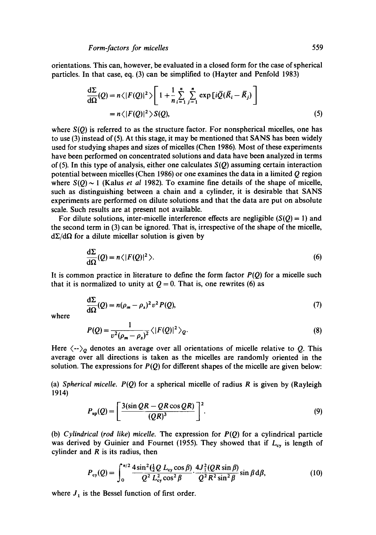orientations. This can, however, be evaluated in a closed form for the case of spherical particles. In that case, eq. (3) can be simplified to (Hayter and Penfold 1983)

$$
\frac{d\Sigma}{d\Omega}(Q) = n\langle |F(Q)|^2 \rangle \left[ 1 + \frac{1}{n} \sum_{i=1}^n \sum_{j=1}^n \exp[i\overline{Q}(\overline{R}_i - \overline{R}_j)] \right]
$$
  
=  $n\langle |F(Q)|^2 \rangle S(Q),$  (5)

where *S(Q)* is referred to as the structure factor. For nonspherical micelles, one has to use (3) instead of(5). At this stage, it may be mentioned that SANS has been widely used for studying shapes and sizes of micelles (Chen 1986). Most of these experiments have been performed on concentrated solutions and data have been analyzed in terms of (5). In this type of analysis, either one calculates *S(Q)* assuming certain interaction potential between micelles (Chen 1986) or one examines the data in a limited  $Q$  region where  $S(Q) \sim 1$  (Kalus *et al* 1982). To examine fine details of the shape of micelle, such as distinguishing between a chain and a cylinder, it is desirable that SANS experiments are performed on dilute solutions and that the data are put on absolute scale. Such results are at present not available.

For dilute solutions, inter-micelle interference effects are negligible  $(S(Q) = 1)$  and the second term in (3) can be ignored. That is, irrespective of the shape of the micelle,  $d\Sigma/d\Omega$  for a dilute micellar solution is given by

$$
\frac{d\Sigma}{d\Omega}(Q) = n \langle |F(Q)|^2 \rangle. \tag{6}
$$

It is common practice in literature to define the form factor  $P(Q)$  for a micelle such that it is normalized to unity at  $Q = 0$ . That is, one rewrites (6) as

$$
\frac{d\Sigma}{d\Omega}(Q) = n(\rho_m - \rho_s)^2 v^2 P(Q),\tag{7}
$$

where

$$
P(Q) = \frac{1}{v^2(\rho_m - \rho_s)^2} \langle |F(Q)|^2 \rangle_Q.
$$
 (8)

Here  $\langle \cdot \cdot \rangle_Q$  denotes an average over all orientations of micelle relative to Q. This average over all directions is taken as the micelles are randomly oriented in the solution. The expressions for  $P(Q)$  for different shapes of the micelle are given below:

(a) *Spherical micelle.*  $P(Q)$  for a spherical micelle of radius R is given by (Rayleigh 1914)

$$
P_{sp}(Q) = \left[\frac{3(\sin QR - QR \cos QR)}{(QR)^3}\right]^2.
$$
 (9)

(b) *Cylindrical (rod like) micelle.* The expression for *P(Q)* for a cylindrical particle was derived by Guinier and Fournet (1955). They showed that if  $L_{cy}$  is length of cylinder and  $R$  is its radius, then

$$
P_{\text{cy}}(Q) = \int_0^{\pi/2} \frac{4\sin^2(\frac{1}{2}Q L_{\text{cy}} \cos \beta)}{Q^2 L_{\text{cy}}^2 \cos^2 \beta} \cdot \frac{4J_1^2(QR \sin \beta)}{Q^2 R^2 \sin^2 \beta} \sin \beta d\beta, \tag{10}
$$

where  $J_1$  is the Bessel function of first order.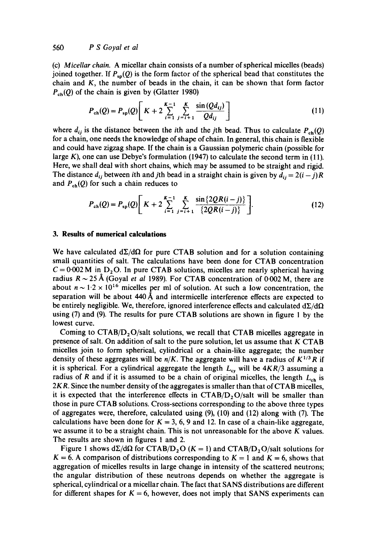(c) *Micellar chain.* A micellar chain consists of a number of spherical micelles (beads) joined together. If  $P_{sp}(Q)$  is the form factor of the spherical bead that constitutes the chain and K, the number of beads in the chain, it can be shown that form factor  $P_{ch}(Q)$  of the chain is given by (Glatter 1980)

$$
P_{\rm ch}(Q) = P_{\rm sp}(Q) \left[ K + 2 \sum_{i=1}^{K-1} \sum_{j=i+1}^{K} \frac{\sin(Qd_{ij})}{Qd_{ij}} \right]
$$
 (11)

where  $d_{ij}$  is the distance between the *i*th and the *j*th bead. Thus to calculate  $P_{ch}(Q)$ for a chain, one needs the knowledge of shape of chain. In general, this chain is flexible and could have zigzag shape. If the chain is a Gaussian polymeric chain (possible for large  $K$ ), one can use Debye's formulation (1947) to calculate the second term in (11). Here, we shall deal with short chains, which may be assumed to be straight and rigid. The distance  $d_{ij}$  between ith and jth bead in a straight chain is given by  $d_{ij} = 2(i - j)R$ and  $P_{ch}(Q)$  for such a chain reduces to

$$
P_{\rm ch}(Q) = P_{\rm sp}(Q) \left[ K + 2 \sum_{i=1}^{K-1} \sum_{j=i+1}^{K} \frac{\sin\{2QR(i-j)\}}{\{2QR(i-j)\}} \right]. \tag{12}
$$

### **3. Results of numerical calculations**

We have calculated  $d\Sigma/d\Omega$  for pure CTAB solution and for a solution containing small quantities of salt. The calculations have been done for CTAB concentration  $C = 0.002$  M in D<sub>2</sub>O. In pure CTAB solutions, micelles are nearly spherical having radius  $R \sim 25$  Å (Goyal *et al* 1989). For CTAB concentration of 0.002 M, there are about  $n \sim 1.2 \times 10^{16}$  micelles per ml of solution. At such a low concentration, the separation will be about 440 A and intermicelle interference effects are expected to be entirely negligible. We, therefore, ignored interference effects and calculated  $\frac{d\sum}{d\Omega}$ using (7) and (9). The results for pure CTAB solutions are shown in figure 1 by the lowest curve.

Coming to  $CTAB/D<sub>2</sub>O/s$ alt solutions, we recall that CTAB micelles aggregate in presence of salt. On addition of salt to the pure solution, let us assume that  $K$  CTAB micelles join to form spherical, cylindrical or a chain-like aggregate; the number density of these aggregates will be  $n/K$ . The aggregate will have a radius of  $K^{1/3}R$  if it is spherical. For a cylindrical aggregate the length  $L_{cy}$  will be  $4KR/3$  assuming a radius of R and if it is assumed to be a chain of original micelles, the length  $L_{ch}$  is 2KR. Since the number density of the aggregates is smaller than that of CTAB micelles, it is expected that the interference effects in *CTAB/D20/salt* will be smaller than those in pure CTAB solutions. Cross-sections corresponding to the above three types of aggregates were, therefore, calculated using (9), (10) and (12) along with (7). The calculations have been done for  $K = 3, 6, 9$  and 12. In case of a chain-like aggregate, we assume it to be a straight chain. This is not unreasonable for the above  $K$  values. The results are shown in figures 1 and 2.

Figure 1 shows  $d\Sigma/d\Omega$  for CTAB/D<sub>2</sub>O (K = 1) and CTAB/D<sub>2</sub>O/salt solutions for  $K = 6$ . A comparison of distributions corresponding to  $K = 1$  and  $K = 6$ , shows that aggregation of micelles results in large change in intensity of the scattered neutrons; the angular distribution of these neutrons depends on whether the aggregate is spherical, cylindrical or a micellar chain. The fact that SANS distributions are different for different shapes for  $K = 6$ , however, does not imply that SANS experiments can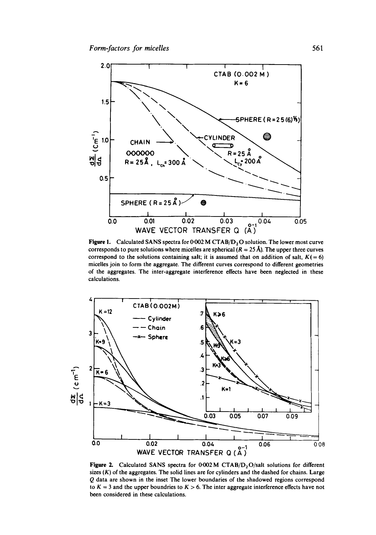

Figure 1. Calculated SANS spectra for  $0.002$  M CTAB/D<sub>2</sub>O solution. The lower most curve corresponds to pure solutions where micelles are spherical  $(R = 25 \text{ Å})$ . The upper three curves correspond to the solutions containing salt; it is assumed that on addition of salt,  $K(= 6)$ micelles join to form the aggregate. The different curves correspond to different geometries of the aggregates. The inter-aggregate interference effects have been neglected in these calculations,



Figure 2. Calculated SANS spectra for  $0.002$  M CTAB/D<sub>2</sub>O/salt solutions for different sizes  $(K)$  of the aggregates. The solid lines are for cylinders and the dashed for chains. Large Q data are shown in the inset The lower boundaries of the shadowed regions correspond to  $K = 3$  and the upper boundries to  $K > 6$ . The inter aggregate interference effects have not been considered in these calculations.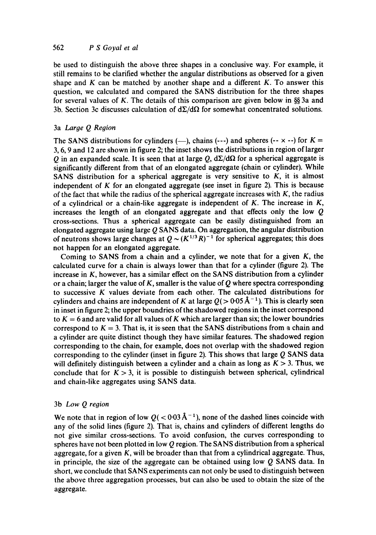be used to distinguish the above three shapes in a conclusive way. For example, it still remains to be clarified whether the angular distributions as observed for a given shape and  $K$  can be matched by another shape and a different  $K$ . To answer this question, we calculated and compared the SANS distribution for the three shapes for several values of K. The details of this comparison are given below in  $\frac{8}{3}$  3a and 3b. Section 3c discusses calculation of  $d\Sigma/d\Omega$  for somewhat concentrated solutions.

# 3a *Large Q Region*

The SANS distributions for cylinders (---), chains (---) and spheres (-- $\times$  --) for  $K =$ 3, 6, 9 and 12 are shown in figure 2; the inset shows the distributions in region of larger Q in an expanded scale. It is seen that at large Q,  $d\Sigma/d\Omega$  for a spherical aggregate is significantly different from that of an elongated aggregate (chain or cylinder). While SANS distribution for a spherical aggregate is very sensitive to  $K$ , it is almost independent of  $K$  for an elongated aggregate (see inset in figure 2). This is because of the fact that while the radius of the spherical aggregate increases with  $K$ , the radius of a cylindrical or a chain-like aggregate is independent of  $K$ . The increase in  $K$ , increases the length of an elongated aggregate and that effects only the low  $Q$ cross-sections. Thus a spherical aggregate can be easily distinguished from an elongated aggregate using large  $Q$  SANS data. On aggregation, the angular distribution of neutrons shows large changes at  $Q \sim (K^{1/3}R)^{-1}$  for spherical aggregates; this does not happen for an elongated aggregate.

Coming to SANS from a chain and a cylinder, we note that for a given  $K$ , the calculated curve for a chain is always lower than that for a cylinder (figure 2). The increase in K, however, has a similar effect on the SANS distribution from a cylinder or a chain; larger the value of K, smaller is the value of  $Q$  where spectra corresponding to successive K values deviate from each other. The calculated distributions for cylinders and chains are independent of K at large  $Q(>0.05\text{ Å}^{-1})$ . This is clearly seen in inset in figure 2; the upper boundries of the shadowed regions in the inset correspond to  $K = 6$  and are valid for all values of K which are larger than six; the lower boundries correspond to  $K = 3$ . That is, it is seen that the SANS distributions from a chain and a cylinder are quite distinct though they have similar features. The shadowed region corresponding to the chain, for example, does not overlap with the shadowed region corresponding to the cylinder (inset in figure 2). This shows that large Q SANS data will definitely distinguish between a cylinder and a chain as long as  $K > 3$ . Thus, we conclude that for  $K > 3$ , it is possible to distinguish between spherical, cylindrical and chain-like aggregates using SANS data.

#### 3b *Low Q region*

We note that in region of low  $Q(< 0.03 \text{ Å}^{-1})$ , none of the dashed lines coincide with any of the solid lines (figure 2). That is, chains and cylinders of different lengths do not give similar cross-sections. To avoid confusion, the curves corresponding to spheres have not been plotted in low  $Q$  region. The SANS distribution from a spherical aggregate, for a given K, will be broader than that from a cylindrical aggregate. Thus, in principle, the size of the aggregate can be obtained using low  $Q$  SANS data. In short, we conclude that SANS experiments can not only be used to distinguish between the above three aggregation processes, but can also be used to obtain the size of the aggregate.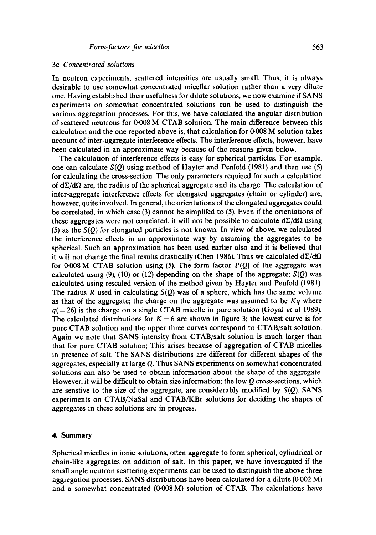#### 3c *Concentrated solutions*

In neutron experiments, scattered intensities are usually small. Thus, it is always desirable to use somewhat concentrated micellar solution rather than a very dilute one. Having established their usefulness for dilute solutions, we now examine if SANS experiments on somewhat concentrated solutions can be used to distinguish the various aggregation processes. For this, we have calculated the angular distribution of scattered neutrons for 0.008 M CTAB solution. The main difference between this calculation and the one reported above is, that calculation for 0.008 M solution takes account of inter-aggregate interference effects. The interference effects, however, have been calculated in an approximate way because of the reasons given below.

The calculation of interference effects is easy for spherical particles. For example, one can calculate *S(Q)* using method of Hayter and Penfold (1981) and then use (5) for calculating the cross-section. The only parameters required for such a calculation of  $d\Sigma/d\Omega$  are, the radius of the spherical aggregate and its charge. The calculation of inter-aggregate interference effects for elongated aggregates (chain or cylinder) are, however, quite involved. In general, the orientations of the elongated aggregates could be correlated, in which case (3) cannot be simplifed to (5). Even if the orientations of these aggregates were not correlated, it will not be possible to calculate  $d\Sigma/d\Omega$  using (5) as the *S(Q)* for elongated particles is not known. In view of above, we calculated the interference effects in an approximate way by assuming the aggregates to be spherical. Such an approximation has been used earlier also and it is believed that it will not change the final results drastically (Chen 1986). Thus we calculated  $d\Sigma/d\Omega$ for  $0.008$  M CTAB solution using (5). The form factor  $P(Q)$  of the aggregate was calculated using  $(9)$ ,  $(10)$  or  $(12)$  depending on the shape of the aggregate;  $S(Q)$  was calculated using rescaled version of the method given by Hayter and Penfold (1981). The radius R used in calculating  $S(Q)$  was of a sphere, which has the same volume as that of the aggregate; the charge on the aggregate was assumed to be *Kq* where  $q(= 26)$  is the charge on a single CTAB micelle in pure solution (Goyal *et al* 1989). The calculated distributions for  $K = 6$  are shown in figure 3; the lowest curve is for pure CTAB solution and the upper three curves correspond to CTAB/salt solution. Again we note that SANS intensity from CTAB/salt solution is much larger than that for pure CTAB solution; This arises because of aggregation of CTAB micelles in presence of salt. The SANS distributions are different for different shapes of the aggregates, especially at large Q. Thus SANS experiments on somewhat concentrated solutions can also be used to obtain information about the shape of the aggregate. However, it will be difficult to obtain size information; the low  $Q$  cross-sections, which are senstive to the size of the aggregate, are considerably modified by *S(Q).* SANS experiments on CTAB/NaSal and CTAB/KBr solutions for deciding the shapes of aggregates in these solutions are in progress.

### **4. Summary**

Spherical micelles in ionic solutions, often aggregate to form spherical, cylindrical or chain-like aggregates on addition of salt. In this paper, we have investigated if the small angle neutron scattering experiments can be used to distinguish the above three aggregation processes. SANS distributions have been calculated for a dilute  $(0.002 \text{ M})$ and a somewhat concentrated (0.008 M) solution of CTAB. The calculations have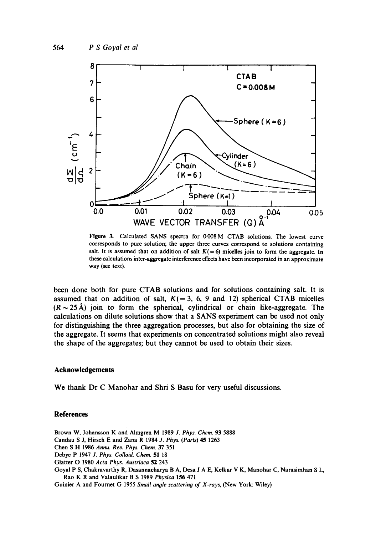

**Figure** 3. Calculated SANS spectra for 0.008 M CTAB solutions. The lowest curve corresponds to pure solution; the upper three curves correspond to solutions containing salt. It is assumed that on addition of salt  $K(= 6)$  micelles join to form the aggregate. In these calculations inter-aggregate interference effects have been incorporated in an approximate way (see text),

been done both for pure CTAB solutions and for solutions containing salt. It is assumed that on addition of salt,  $K( = 3, 6, 9 \text{ and } 12)$  spherical CTAB micelles  $(R \sim 25 \text{ Å})$  join to form the spherical, cylindrical or chain like-aggregate. The calculations on dilute solutions show that a SANS experiment can be used not only for distinguishing the three aggregation processes, but also for obtaining the size of the aggregate. It seems that experiments on concentrated solutions might also reveal the shape of the aggregates; but they cannot be used to obtain their sizes.

# **Acknowledgements**

We thank Dr C Manohar and Shri S Basu for very useful discussions.

#### **References**

Brown W, Johansson K and Almgren M 1989 *J. Phys. Chem.* 93 5888 Candau S J, Hirsch E and Zana R 1984 *J. Phys. (Paris)* 45 1263 Chen S H 1986 *Annu. Rev. Phys. Chem.* 37 351 Debye P 1947 *J. Phys. Colloid. Chem.* 51 18 Glatter O 1980 *Acta Phys. Austriaca* 52 243 Goyal P S, Chakravarthy R, Dasannacharya B A, Desa J A E, Kelkar V K, Manohar C, Narasimhan S L, Rag K R and Valaulikar B S 1989 *Physica* 156 471

Guinier A and Fournet G 1955 *Small angle scattering of X-rays,* (New York: Wiley)